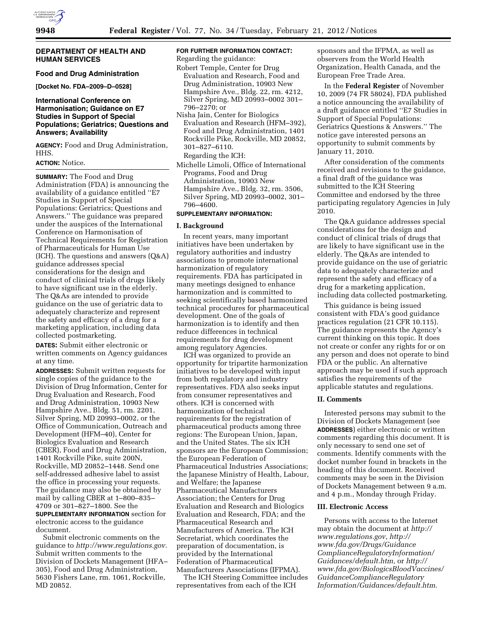## **DEPARTMENT OF HEALTH AND HUMAN SERVICES**

# **Food and Drug Administration**

**[Docket No. FDA–2009–D–0528]** 

## **International Conference on Harmonisation; Guidance on E7 Studies in Support of Special Populations; Geriatrics; Questions and Answers; Availability**

**AGENCY:** Food and Drug Administration, HHS.

## **ACTION:** Notice.

**SUMMARY:** The Food and Drug Administration (FDA) is announcing the availability of a guidance entitled ''E7 Studies in Support of Special Populations: Geriatrics; Questions and Answers.'' The guidance was prepared under the auspices of the International Conference on Harmonisation of Technical Requirements for Registration of Pharmaceuticals for Human Use (ICH). The questions and answers (Q&A) guidance addresses special considerations for the design and conduct of clinical trials of drugs likely to have significant use in the elderly. The Q&As are intended to provide guidance on the use of geriatric data to adequately characterize and represent the safety and efficacy of a drug for a marketing application, including data collected postmarketing.

**DATES:** Submit either electronic or written comments on Agency guidances at any time.

**ADDRESSES:** Submit written requests for single copies of the guidance to the Division of Drug Information, Center for Drug Evaluation and Research, Food and Drug Administration, 10903 New Hampshire Ave., Bldg. 51, rm. 2201, Silver Spring, MD 20993–0002, or the Office of Communication, Outreach and Development (HFM–40), Center for Biologics Evaluation and Research (CBER), Food and Drug Administration, 1401 Rockville Pike, suite 200N, Rockville, MD 20852–1448. Send one self-addressed adhesive label to assist the office in processing your requests. The guidance may also be obtained by mail by calling CBER at 1–800–835– 4709 or 301–827–1800. See the **SUPPLEMENTARY INFORMATION** section for electronic access to the guidance document.

Submit electronic comments on the guidance to *[http://www.regulations.gov.](http://www.regulations.gov)*  Submit written comments to the Division of Dockets Management (HFA– 305), Food and Drug Administration, 5630 Fishers Lane, rm. 1061, Rockville, MD 20852.

## **FOR FURTHER INFORMATION CONTACT:**  Regarding the guidance:

- Robert Temple, Center for Drug Evaluation and Research, Food and Drug Administration, 10903 New Hampshire Ave., Bldg. 22, rm. 4212, Silver Spring, MD 20993–0002 301– 796–2270; or
- Nisha Jain, Center for Biologics Evaluation and Research (HFM–392), Food and Drug Administration, 1401 Rockville Pike, Rockville, MD 20852, 301–827–6110.

Regarding the ICH:

Michelle Limoli, Office of International Programs, Food and Drug Administration, 10903 New Hampshire Ave., Bldg. 32, rm. 3506, Silver Spring, MD 20993–0002, 301– 796–4600.

# **SUPPLEMENTARY INFORMATION:**

#### **I. Background**

In recent years, many important initiatives have been undertaken by regulatory authorities and industry associations to promote international harmonization of regulatory requirements. FDA has participated in many meetings designed to enhance harmonization and is committed to seeking scientifically based harmonized technical procedures for pharmaceutical development. One of the goals of harmonization is to identify and then reduce differences in technical requirements for drug development among regulatory Agencies.

ICH was organized to provide an opportunity for tripartite harmonization initiatives to be developed with input from both regulatory and industry representatives. FDA also seeks input from consumer representatives and others. ICH is concerned with harmonization of technical requirements for the registration of pharmaceutical products among three regions: The European Union, Japan, and the United States. The six ICH sponsors are the European Commission; the European Federation of Pharmaceutical Industries Associations; the Japanese Ministry of Health, Labour, and Welfare; the Japanese Pharmaceutical Manufacturers Association; the Centers for Drug Evaluation and Research and Biologics Evaluation and Research, FDA; and the Pharmaceutical Research and Manufacturers of America. The ICH Secretariat, which coordinates the preparation of documentation, is provided by the International Federation of Pharmaceutical Manufacturers Associations (IFPMA).

The ICH Steering Committee includes representatives from each of the ICH

sponsors and the IFPMA, as well as observers from the World Health Organization, Health Canada, and the European Free Trade Area.

In the **Federal Register** of November 10, 2009 (74 FR 58024), FDA published a notice announcing the availability of a draft guidance entitled ''E7 Studies in Support of Special Populations: Geriatrics Questions & Answers.'' The notice gave interested persons an opportunity to submit comments by January 11, 2010.

After consideration of the comments received and revisions to the guidance, a final draft of the guidance was submitted to the ICH Steering Committee and endorsed by the three participating regulatory Agencies in July 2010.

The Q&A guidance addresses special considerations for the design and conduct of clinical trials of drugs that are likely to have significant use in the elderly. The Q&As are intended to provide guidance on the use of geriatric data to adequately characterize and represent the safety and efficacy of a drug for a marketing application, including data collected postmarketing.

This guidance is being issued consistent with FDA's good guidance practices regulation (21 CFR 10.115). The guidance represents the Agency's current thinking on this topic. It does not create or confer any rights for or on any person and does not operate to bind FDA or the public. An alternative approach may be used if such approach satisfies the requirements of the applicable statutes and regulations.

#### **II. Comments**

Interested persons may submit to the Division of Dockets Management (see **ADDRESSES**) either electronic or written comments regarding this document. It is only necessary to send one set of comments. Identify comments with the docket number found in brackets in the heading of this document. Received comments may be seen in the Division of Dockets Management between 9 a.m. and 4 p.m., Monday through Friday.

#### **III. Electronic Access**

Persons with access to the Internet may obtain the document at *[http://](http://www.regulations.gov) [www.regulations.gov](http://www.regulations.gov)*, *[http://](http://www.fda.gov/Drugs/GuidanceComplianceRegulatoryInformation/Guidances/default.htm) [www.fda.gov/Drugs/Guidance](http://www.fda.gov/Drugs/GuidanceComplianceRegulatoryInformation/Guidances/default.htm) [ComplianceRegulatoryInformation/](http://www.fda.gov/Drugs/GuidanceComplianceRegulatoryInformation/Guidances/default.htm) [Guidances/default.htm,](http://www.fda.gov/Drugs/GuidanceComplianceRegulatoryInformation/Guidances/default.htm)* or *[http://](http://www.fda.gov/BiologicsBloodVaccines/GuidanceComplianceRegulatoryInformation/Guidances/default.htm) [www.fda.gov/BiologicsBloodVaccines/](http://www.fda.gov/BiologicsBloodVaccines/GuidanceComplianceRegulatoryInformation/Guidances/default.htm) [GuidanceComplianceRegulatory](http://www.fda.gov/BiologicsBloodVaccines/GuidanceComplianceRegulatoryInformation/Guidances/default.htm) [Information/Guidances/default.htm](http://www.fda.gov/BiologicsBloodVaccines/GuidanceComplianceRegulatoryInformation/Guidances/default.htm)*.